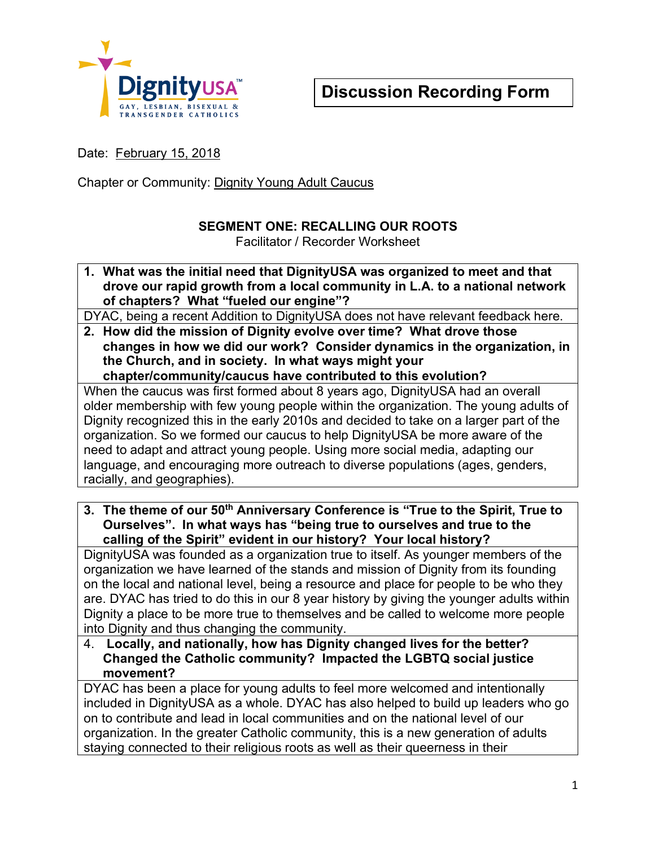

Date: February 15, 2018

Chapter or Community: Dignity Young Adult Caucus

## **SEGMENT ONE: RECALLING OUR ROOTS**

Facilitator / Recorder Worksheet

**1. What was the initial need that DignityUSA was organized to meet and that drove our rapid growth from a local community in L.A. to a national network of chapters? What "fueled our engine"?**

DYAC, being a recent Addition to DignityUSA does not have relevant feedback here.

**2. How did the mission of Dignity evolve over time? What drove those changes in how we did our work? Consider dynamics in the organization, in the Church, and in society. In what ways might your chapter/community/caucus have contributed to this evolution?** 

When the caucus was first formed about 8 years ago, DignityUSA had an overall older membership with few young people within the organization. The young adults of Dignity recognized this in the early 2010s and decided to take on a larger part of the organization. So we formed our caucus to help DignityUSA be more aware of the need to adapt and attract young people. Using more social media, adapting our language, and encouraging more outreach to diverse populations (ages, genders, racially, and geographies).

**3. The theme of our 50th Anniversary Conference is "True to the Spirit, True to Ourselves". In what ways has "being true to ourselves and true to the calling of the Spirit" evident in our history? Your local history?**

DignityUSA was founded as a organization true to itself. As younger members of the organization we have learned of the stands and mission of Dignity from its founding on the local and national level, being a resource and place for people to be who they are. DYAC has tried to do this in our 8 year history by giving the younger adults within Dignity a place to be more true to themselves and be called to welcome more people into Dignity and thus changing the community.

4. **Locally, and nationally, how has Dignity changed lives for the better? Changed the Catholic community? Impacted the LGBTQ social justice movement?**

DYAC has been a place for young adults to feel more welcomed and intentionally included in DignityUSA as a whole. DYAC has also helped to build up leaders who go on to contribute and lead in local communities and on the national level of our organization. In the greater Catholic community, this is a new generation of adults staying connected to their religious roots as well as their queerness in their